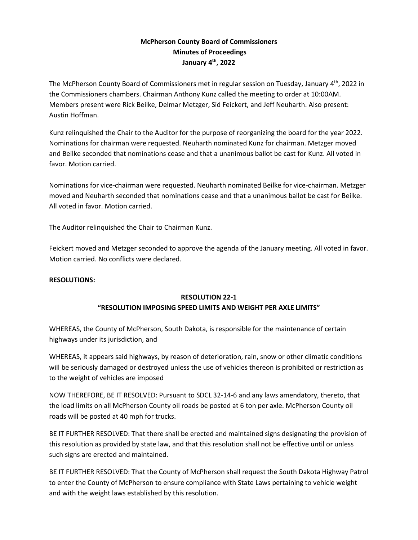# **McPherson County Board of Commissioners Minutes of Proceedings January 4 th , 2022**

The McPherson County Board of Commissioners met in regular session on Tuesday, January 4<sup>th</sup>, 2022 in the Commissioners chambers. Chairman Anthony Kunz called the meeting to order at 10:00AM. Members present were Rick Beilke, Delmar Metzger, Sid Feickert, and Jeff Neuharth. Also present: Austin Hoffman.

Kunz relinquished the Chair to the Auditor for the purpose of reorganizing the board for the year 2022. Nominations for chairman were requested. Neuharth nominated Kunz for chairman. Metzger moved and Beilke seconded that nominations cease and that a unanimous ballot be cast for Kunz. All voted in favor. Motion carried.

Nominations for vice-chairman were requested. Neuharth nominated Beilke for vice-chairman. Metzger moved and Neuharth seconded that nominations cease and that a unanimous ballot be cast for Beilke. All voted in favor. Motion carried.

The Auditor relinquished the Chair to Chairman Kunz.

Feickert moved and Metzger seconded to approve the agenda of the January meeting. All voted in favor. Motion carried. No conflicts were declared.

#### **RESOLUTIONS:**

#### **RESOLUTION 22-1**

## **"RESOLUTION IMPOSING SPEED LIMITS AND WEIGHT PER AXLE LIMITS"**

WHEREAS, the County of McPherson, South Dakota, is responsible for the maintenance of certain highways under its jurisdiction, and

WHEREAS, it appears said highways, by reason of deterioration, rain, snow or other climatic conditions will be seriously damaged or destroyed unless the use of vehicles thereon is prohibited or restriction as to the weight of vehicles are imposed

NOW THEREFORE, BE IT RESOLVED: Pursuant to SDCL 32-14-6 and any laws amendatory, thereto, that the load limits on all McPherson County oil roads be posted at 6 ton per axle. McPherson County oil roads will be posted at 40 mph for trucks.

BE IT FURTHER RESOLVED: That there shall be erected and maintained signs designating the provision of this resolution as provided by state law, and that this resolution shall not be effective until or unless such signs are erected and maintained.

BE IT FURTHER RESOLVED: That the County of McPherson shall request the South Dakota Highway Patrol to enter the County of McPherson to ensure compliance with State Laws pertaining to vehicle weight and with the weight laws established by this resolution.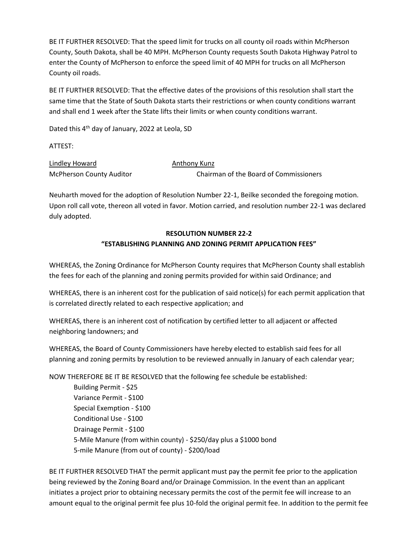BE IT FURTHER RESOLVED: That the speed limit for trucks on all county oil roads within McPherson County, South Dakota, shall be 40 MPH. McPherson County requests South Dakota Highway Patrol to enter the County of McPherson to enforce the speed limit of 40 MPH for trucks on all McPherson County oil roads.

BE IT FURTHER RESOLVED: That the effective dates of the provisions of this resolution shall start the same time that the State of South Dakota starts their restrictions or when county conditions warrant and shall end 1 week after the State lifts their limits or when county conditions warrant.

Dated this 4<sup>th</sup> day of January, 2022 at Leola, SD

ATTEST:

Lindley Howard **Anthony Kunz** McPherson County Auditor **Chairman of the Board of Commissioners** 

Neuharth moved for the adoption of Resolution Number 22-1, Beilke seconded the foregoing motion. Upon roll call vote, thereon all voted in favor. Motion carried, and resolution number 22-1 was declared duly adopted.

# **RESOLUTION NUMBER 22-2 "ESTABLISHING PLANNING AND ZONING PERMIT APPLICATION FEES"**

WHEREAS, the Zoning Ordinance for McPherson County requires that McPherson County shall establish the fees for each of the planning and zoning permits provided for within said Ordinance; and

WHEREAS, there is an inherent cost for the publication of said notice(s) for each permit application that is correlated directly related to each respective application; and

WHEREAS, there is an inherent cost of notification by certified letter to all adjacent or affected neighboring landowners; and

WHEREAS, the Board of County Commissioners have hereby elected to establish said fees for all planning and zoning permits by resolution to be reviewed annually in January of each calendar year;

NOW THEREFORE BE IT BE RESOLVED that the following fee schedule be established:

Building Permit - \$25 Variance Permit - \$100 Special Exemption - \$100 Conditional Use - \$100 Drainage Permit - \$100 5-Mile Manure (from within county) - \$250/day plus a \$1000 bond 5-mile Manure (from out of county) - \$200/load

BE IT FURTHER RESOLVED THAT the permit applicant must pay the permit fee prior to the application being reviewed by the Zoning Board and/or Drainage Commission. In the event than an applicant initiates a project prior to obtaining necessary permits the cost of the permit fee will increase to an amount equal to the original permit fee plus 10-fold the original permit fee. In addition to the permit fee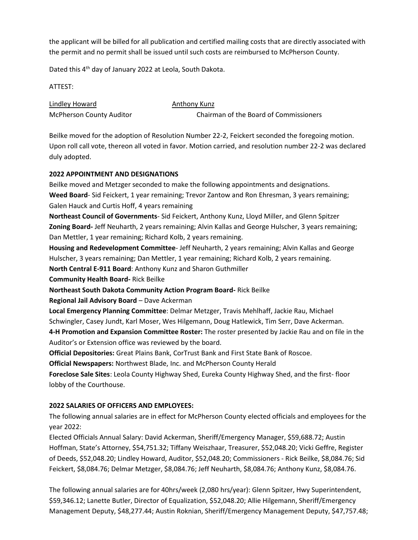the applicant will be billed for all publication and certified mailing costs that are directly associated with the permit and no permit shall be issued until such costs are reimbursed to McPherson County.

Dated this 4<sup>th</sup> day of January 2022 at Leola, South Dakota.

ATTEST:

Lindley Howard **Anthony Kunz** McPherson County Auditor **Chairman of the Board of Commissioners** 

Beilke moved for the adoption of Resolution Number 22-2, Feickert seconded the foregoing motion. Upon roll call vote, thereon all voted in favor. Motion carried, and resolution number 22-2 was declared duly adopted.

# **2022 APPOINTMENT AND DESIGNATIONS**

Beilke moved and Metzger seconded to make the following appointments and designations. **Weed Board**- Sid Feickert, 1 year remaining; Trevor Zantow and Ron Ehresman, 3 years remaining; Galen Hauck and Curtis Hoff, 4 years remaining

**Northeast Council of Governments**- Sid Feickert, Anthony Kunz, Lloyd Miller, and Glenn Spitzer **Zoning Board-** Jeff Neuharth, 2 years remaining; Alvin Kallas and George Hulscher, 3 years remaining; Dan Mettler, 1 year remaining; Richard Kolb, 2 years remaining.

**Housing and Redevelopment Committee**- Jeff Neuharth, 2 years remaining; Alvin Kallas and George Hulscher, 3 years remaining; Dan Mettler, 1 year remaining; Richard Kolb, 2 years remaining. **North Central E-911 Board**: Anthony Kunz and Sharon Guthmiller

**Community Health Board-** Rick Beilke

**Northeast South Dakota Community Action Program Board-** Rick Beilke

**Regional Jail Advisory Board** – Dave Ackerman

**Local Emergency Planning Committee**: Delmar Metzger, Travis Mehlhaff, Jackie Rau, Michael Schwingler, Casey Jundt, Karl Moser, Wes Hilgemann, Doug Hatlewick, Tim Serr, Dave Ackerman. **4-H Promotion and Expansion Committee Roster:** The roster presented by Jackie Rau and on file in the

Auditor's or Extension office was reviewed by the board.

**Official Depositories:** Great Plains Bank, CorTrust Bank and First State Bank of Roscoe.

**Official Newspapers:** Northwest Blade, Inc. and McPherson County Herald

**Foreclose Sale Sites**: Leola County Highway Shed, Eureka County Highway Shed, and the first- floor lobby of the Courthouse.

# **2022 SALARIES OF OFFICERS AND EMPLOYEES:**

The following annual salaries are in effect for McPherson County elected officials and employees for the year 2022:

Elected Officials Annual Salary: David Ackerman, Sheriff/Emergency Manager, \$59,688.72; Austin Hoffman, State's Attorney, \$54,751.32; Tiffany Weiszhaar, Treasurer, \$52,048.20; Vicki Geffre, Register of Deeds, \$52,048.20; Lindley Howard, Auditor, \$52,048.20; Commissioners - Rick Beilke, \$8,084.76; Sid Feickert, \$8,084.76; Delmar Metzger, \$8,084.76; Jeff Neuharth, \$8,084.76; Anthony Kunz, \$8,084.76.

The following annual salaries are for 40hrs/week (2,080 hrs/year): Glenn Spitzer, Hwy Superintendent, \$59,346.12; Lanette Butler, Director of Equalization, \$52,048.20; Allie Hilgemann, Sheriff/Emergency Management Deputy, \$48,277.44; Austin Roknian, Sheriff/Emergency Management Deputy, \$47,757.48;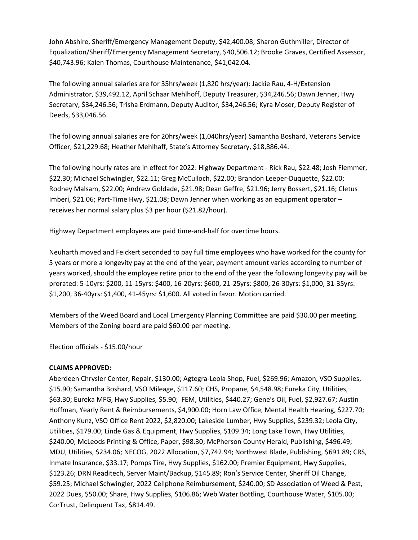John Abshire, Sheriff/Emergency Management Deputy, \$42,400.08; Sharon Guthmiller, Director of Equalization/Sheriff/Emergency Management Secretary, \$40,506.12; Brooke Graves, Certified Assessor, \$40,743.96; Kalen Thomas, Courthouse Maintenance, \$41,042.04.

The following annual salaries are for 35hrs/week (1,820 hrs/year): Jackie Rau, 4-H/Extension Administrator, \$39,492.12, April Schaar Mehlhoff, Deputy Treasurer, \$34,246.56; Dawn Jenner, Hwy Secretary, \$34,246.56; Trisha Erdmann, Deputy Auditor, \$34,246.56; Kyra Moser, Deputy Register of Deeds, \$33,046.56.

The following annual salaries are for 20hrs/week (1,040hrs/year) Samantha Boshard, Veterans Service Officer, \$21,229.68; Heather Mehlhaff, State's Attorney Secretary, \$18,886.44.

The following hourly rates are in effect for 2022: Highway Department - Rick Rau, \$22.48; Josh Flemmer, \$22.30; Michael Schwingler, \$22.11; Greg McCulloch, \$22.00; Brandon Leeper-Duquette, \$22.00; Rodney Malsam, \$22.00; Andrew Goldade, \$21.98; Dean Geffre, \$21.96; Jerry Bossert, \$21.16; Cletus Imberi, \$21.06; Part-Time Hwy, \$21.08; Dawn Jenner when working as an equipment operator – receives her normal salary plus \$3 per hour (\$21.82/hour).

Highway Department employees are paid time-and-half for overtime hours.

Neuharth moved and Feickert seconded to pay full time employees who have worked for the county for 5 years or more a longevity pay at the end of the year, payment amount varies according to number of years worked, should the employee retire prior to the end of the year the following longevity pay will be prorated: 5-10yrs: \$200, 11-15yrs: \$400, 16-20yrs: \$600, 21-25yrs: \$800, 26-30yrs: \$1,000, 31-35yrs: \$1,200, 36-40yrs: \$1,400, 41-45yrs: \$1,600. All voted in favor. Motion carried.

Members of the Weed Board and Local Emergency Planning Committee are paid \$30.00 per meeting. Members of the Zoning board are paid \$60.00 per meeting.

Election officials - \$15.00/hour

#### **CLAIMS APPROVED:**

Aberdeen Chrysler Center, Repair, \$130.00; Agtegra-Leola Shop, Fuel, \$269.96; Amazon, VSO Supplies, \$15.90; Samantha Boshard, VSO Mileage, \$117.60; CHS, Propane, \$4,548.98; Eureka City, Utilities, \$63.30; Eureka MFG, Hwy Supplies, \$5.90; FEM, Utilities, \$440.27; Gene's Oil, Fuel, \$2,927.67; Austin Hoffman, Yearly Rent & Reimbursements, \$4,900.00; Horn Law Office, Mental Health Hearing, \$227.70; Anthony Kunz, VSO Office Rent 2022, \$2,820.00; Lakeside Lumber, Hwy Supplies, \$239.32; Leola City, Utilities, \$179.00; Linde Gas & Equipment, Hwy Supplies, \$109.34; Long Lake Town, Hwy Utilities, \$240.00; McLeods Printing & Office, Paper, \$98.30; McPherson County Herald, Publishing, \$496.49; MDU, Utilities, \$234.06; NECOG, 2022 Allocation, \$7,742.94; Northwest Blade, Publishing, \$691.89; CRS, Inmate Insurance, \$33.17; Pomps Tire, Hwy Supplies, \$162.00; Premier Equipment, Hwy Supplies, \$123.26; DRN Readitech, Server Maint/Backup, \$145.89; Ron's Service Center, Sheriff Oil Change, \$59.25; Michael Schwingler, 2022 Cellphone Reimbursement, \$240.00; SD Association of Weed & Pest, 2022 Dues, \$50.00; Share, Hwy Supplies, \$106.86; Web Water Bottling, Courthouse Water, \$105.00; CorTrust, Delinquent Tax, \$814.49.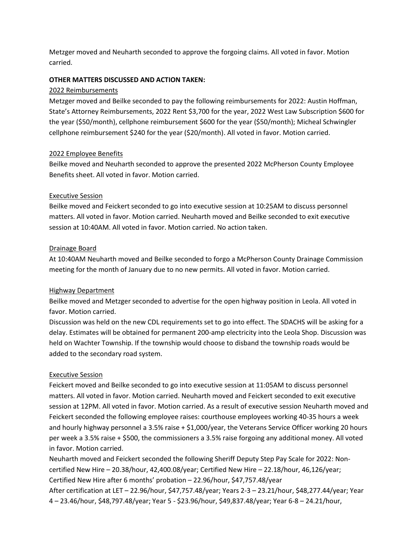Metzger moved and Neuharth seconded to approve the forgoing claims. All voted in favor. Motion carried.

#### **OTHER MATTERS DISCUSSED AND ACTION TAKEN:**

## 2022 Reimbursements

Metzger moved and Beilke seconded to pay the following reimbursements for 2022: Austin Hoffman, State's Attorney Reimbursements, 2022 Rent \$3,700 for the year, 2022 West Law Subscription \$600 for the year (\$50/month), cellphone reimbursement \$600 for the year (\$50/month); Micheal Schwingler cellphone reimbursement \$240 for the year (\$20/month). All voted in favor. Motion carried.

## 2022 Employee Benefits

Beilke moved and Neuharth seconded to approve the presented 2022 McPherson County Employee Benefits sheet. All voted in favor. Motion carried.

## Executive Session

Beilke moved and Feickert seconded to go into executive session at 10:25AM to discuss personnel matters. All voted in favor. Motion carried. Neuharth moved and Beilke seconded to exit executive session at 10:40AM. All voted in favor. Motion carried. No action taken.

## Drainage Board

At 10:40AM Neuharth moved and Beilke seconded to forgo a McPherson County Drainage Commission meeting for the month of January due to no new permits. All voted in favor. Motion carried.

## Highway Department

Beilke moved and Metzger seconded to advertise for the open highway position in Leola. All voted in favor. Motion carried.

Discussion was held on the new CDL requirements set to go into effect. The SDACHS will be asking for a delay. Estimates will be obtained for permanent 200-amp electricity into the Leola Shop. Discussion was held on Wachter Township. If the township would choose to disband the township roads would be added to the secondary road system.

## Executive Session

Feickert moved and Beilke seconded to go into executive session at 11:05AM to discuss personnel matters. All voted in favor. Motion carried. Neuharth moved and Feickert seconded to exit executive session at 12PM. All voted in favor. Motion carried. As a result of executive session Neuharth moved and Feickert seconded the following employee raises: courthouse employees working 40-35 hours a week and hourly highway personnel a 3.5% raise + \$1,000/year, the Veterans Service Officer working 20 hours per week a 3.5% raise + \$500, the commissioners a 3.5% raise forgoing any additional money. All voted in favor. Motion carried.

Neuharth moved and Feickert seconded the following Sheriff Deputy Step Pay Scale for 2022: Noncertified New Hire – 20.38/hour, 42,400.08/year; Certified New Hire – 22.18/hour, 46,126/year; Certified New Hire after 6 months' probation – 22.96/hour, \$47,757.48/year After certification at LET – 22.96/hour, \$47,757.48/year; Years 2-3 – 23.21/hour, \$48,277.44/year; Year 4 – 23.46/hour, \$48,797.48/year; Year 5 - \$23.96/hour, \$49,837.48/year; Year 6-8 – 24.21/hour,